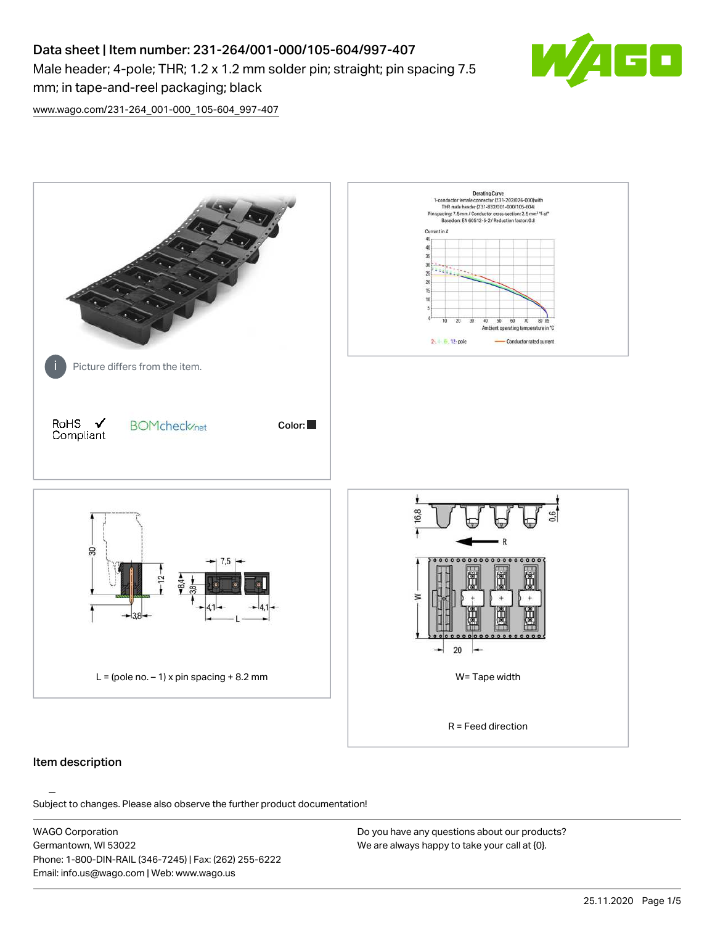# Data sheet | Item number: 231-264/001-000/105-604/997-407 Male header; 4-pole; THR; 1.2 x 1.2 mm solder pin; straight; pin spacing 7.5 mm; in tape-and-reel packaging; black



[www.wago.com/231-264\\_001-000\\_105-604\\_997-407](http://www.wago.com/231-264_001-000_105-604_997-407)



### Item description

Subject to changes. Please also observe the further product documentation!

WAGO Corporation Germantown, WI 53022 Phone: 1-800-DIN-RAIL (346-7245) | Fax: (262) 255-6222 Email: info.us@wago.com | Web: www.wago.us

Do you have any questions about our products? We are always happy to take your call at {0}.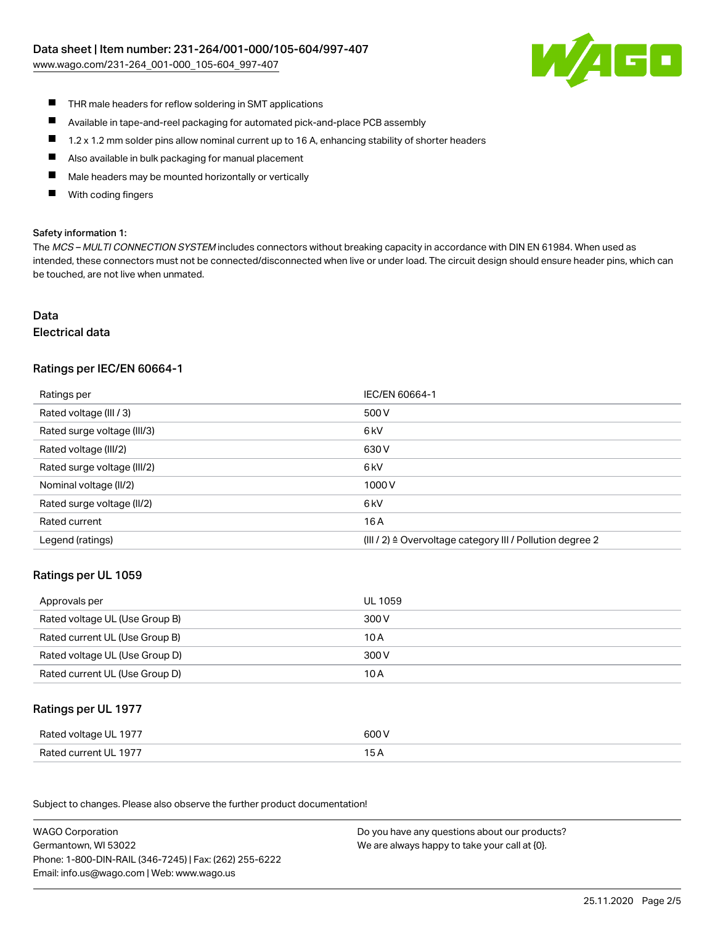[www.wago.com/231-264\\_001-000\\_105-604\\_997-407](http://www.wago.com/231-264_001-000_105-604_997-407)



- $\blacksquare$ THR male headers for reflow soldering in SMT applications
- $\blacksquare$ Available in tape-and-reel packaging for automated pick-and-place PCB assembly
- $\blacksquare$ 1.2 x 1.2 mm solder pins allow nominal current up to 16 A, enhancing stability of shorter headers
- $\blacksquare$ Also available in bulk packaging for manual placement
- П Male headers may be mounted horizontally or vertically
- With coding fingers П

#### Safety information 1:

The MCS - MULTI CONNECTION SYSTEM includes connectors without breaking capacity in accordance with DIN EN 61984. When used as intended, these connectors must not be connected/disconnected when live or under load. The circuit design should ensure header pins, which can be touched, are not live when unmated.

# Data

#### Electrical data

### Ratings per IEC/EN 60664-1

| Ratings per                 | IEC/EN 60664-1                                            |
|-----------------------------|-----------------------------------------------------------|
| Rated voltage (III / 3)     | 500 V                                                     |
| Rated surge voltage (III/3) | 6 <sub>k</sub> V                                          |
| Rated voltage (III/2)       | 630 V                                                     |
| Rated surge voltage (III/2) | 6 <sub>k</sub> V                                          |
| Nominal voltage (II/2)      | 1000V                                                     |
| Rated surge voltage (II/2)  | 6 kV                                                      |
| Rated current               | 16 A                                                      |
| Legend (ratings)            | (III / 2) ≙ Overvoltage category III / Pollution degree 2 |

### Ratings per UL 1059

| Approvals per                  | UL 1059 |
|--------------------------------|---------|
| Rated voltage UL (Use Group B) | 300 V   |
| Rated current UL (Use Group B) | 10 A    |
| Rated voltage UL (Use Group D) | 300 V   |
| Rated current UL (Use Group D) | 10 A    |

### Ratings per UL 1977

| Rated voltage UL 1977 | 600 V |
|-----------------------|-------|
| Rated current UL 1977 |       |

Subject to changes. Please also observe the further product documentation! Ratings per CSA

| <b>WAGO Corporation</b>                                | Do you have any questions about our products? |
|--------------------------------------------------------|-----------------------------------------------|
| Germantown, WI 53022                                   | We are always happy to take your call at {0}. |
| Phone: 1-800-DIN-RAIL (346-7245)   Fax: (262) 255-6222 |                                               |
| Email: info.us@wago.com   Web: www.wago.us             |                                               |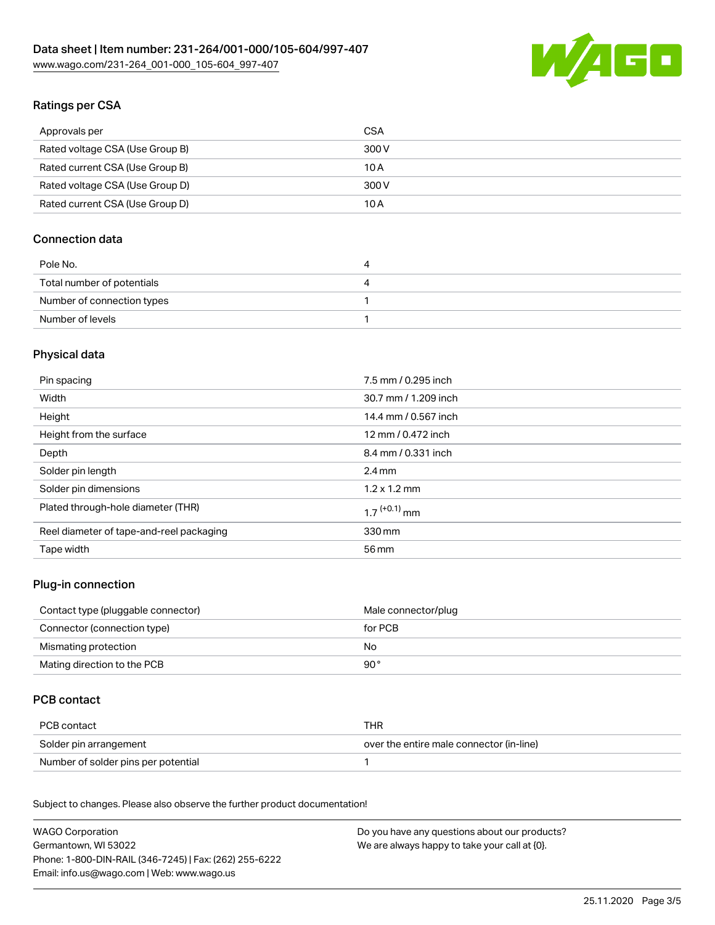

# Ratings per CSA

| Approvals per                   | CSA   |
|---------------------------------|-------|
| Rated voltage CSA (Use Group B) | 300 V |
| Rated current CSA (Use Group B) | 10 A  |
| Rated voltage CSA (Use Group D) | 300 V |
| Rated current CSA (Use Group D) | 10 A  |

# Connection data

| Pole No.                   | 4 |
|----------------------------|---|
| Total number of potentials | ↵ |
| Number of connection types |   |
| Number of levels           |   |

# Physical data

| Pin spacing                              | 7.5 mm / 0.295 inch        |
|------------------------------------------|----------------------------|
| Width                                    | 30.7 mm / 1.209 inch       |
| Height                                   | 14.4 mm / 0.567 inch       |
| Height from the surface                  | 12 mm / 0.472 inch         |
| Depth                                    | 8.4 mm / 0.331 inch        |
| Solder pin length                        | $2.4 \text{ mm}$           |
| Solder pin dimensions                    | $1.2 \times 1.2$ mm        |
| Plated through-hole diameter (THR)       | $1.7$ <sup>(+0.1)</sup> mm |
| Reel diameter of tape-and-reel packaging | 330 mm                     |
| Tape width                               | 56 mm                      |

### Plug-in connection

| Contact type (pluggable connector) | Male connector/plug |
|------------------------------------|---------------------|
| Connector (connection type)        | for PCB             |
| Mismating protection               | No.                 |
| Mating direction to the PCB        | 90 °                |

# PCB contact

| PCB contact                         | THR                                      |
|-------------------------------------|------------------------------------------|
| Solder pin arrangement              | over the entire male connector (in-line) |
| Number of solder pins per potential |                                          |

Subject to changes. Please also observe the further product documentation! Material Data

| WAGO Corporation                                       | Do you have any questions about our products? |
|--------------------------------------------------------|-----------------------------------------------|
| Germantown. WI 53022                                   | We are always happy to take your call at {0}. |
| Phone: 1-800-DIN-RAIL (346-7245)   Fax: (262) 255-6222 |                                               |
| Email: info.us@wago.com   Web: www.wago.us             |                                               |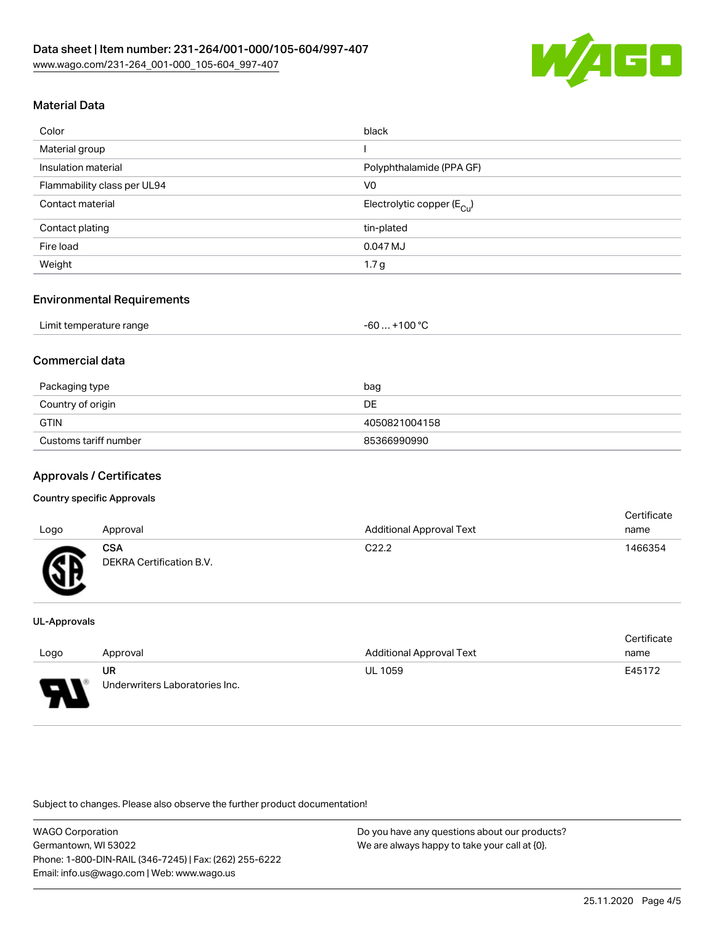

# Material Data

| Color                       | black                                 |
|-----------------------------|---------------------------------------|
| Material group              |                                       |
| Insulation material         | Polyphthalamide (PPA GF)              |
| Flammability class per UL94 | V <sub>0</sub>                        |
| Contact material            | Electrolytic copper $(E_{\text{Cl}})$ |
| Contact plating             | tin-plated                            |
| Fire load                   | 0.047 MJ                              |
| Weight                      | 1.7 <sub>g</sub>                      |

### Environmental Requirements

### Commercial data

| Packaging type        | bag           |
|-----------------------|---------------|
| Country of origin     | DE.           |
| <b>GTIN</b>           | 4050821004158 |
| Customs tariff number | 85366990990   |

### Approvals / Certificates

#### Country specific Approvals

| Logo | Approval                               | <b>Additional Approval Text</b> | <b>Certificate</b><br>name |
|------|----------------------------------------|---------------------------------|----------------------------|
| Гπ   | <b>CSA</b><br>DEKRA Certification B.V. | C <sub>22.2</sub>               | 1466354                    |

#### UL-Approvals

|      |                                |                                 | Certificate |
|------|--------------------------------|---------------------------------|-------------|
| Logo | Approval                       | <b>Additional Approval Text</b> | name        |
|      | UR                             | <b>UL 1059</b>                  | E45172      |
| L    | Underwriters Laboratories Inc. |                                 |             |

Subject to changes. Please also observe the further product documentation!

WAGO Corporation Germantown, WI 53022 Phone: 1-800-DIN-RAIL (346-7245) | Fax: (262) 255-6222 Email: info.us@wago.com | Web: www.wago.us

Do you have any questions about our products? We are always happy to take your call at {0}.

Certificate